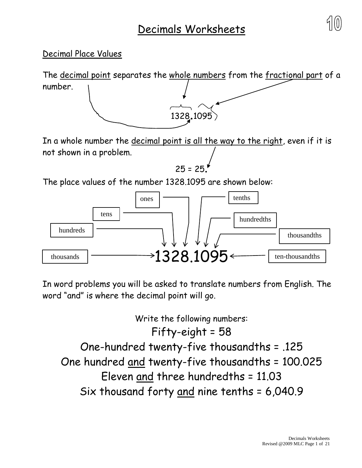

## Decimal Place Values

The decimal point separates the whole numbers from the fractional part of a number. <sup>1328</sup>.<sup>1095</sup>

In a whole number the decimal point is all the way to the right, even if it is not shown in a problem.

$$
25 = 25.
$$

The place values of the number 1328.1095 are shown below:



In word problems you will be asked to translate numbers from English. The word "and" is where the decimal point will go.

Write the following numbers: Fifty-eight = 58 One-hundred twenty-five thousandths = .125 One hundred and twenty-five thousandths = 100.025 Eleven and three hundredths = 11.03 Six thousand forty and nine tenths = 6,040.9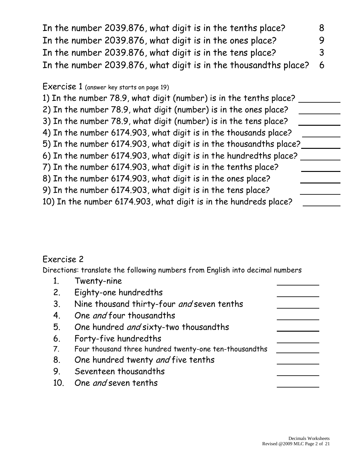In the number 2039.876, what digit is in the tenths place? 8 In the number 2039.876, what digit is in the ones place? 9 In the number 2039.876, what digit is in the tens place? 3 In the number 2039.876, what digit is in the thousandths place? 6

### Exercise 1 (answer key starts on page 19)

1) In the number 78.9, what digit (number) is in the tenths place? 2) In the number 78.9, what digit (number) is in the ones place? 3) In the number 78.9, what digit (number) is in the tens place? 4) In the number 6174.903, what digit is in the thousands place? 5) In the number 6174.903, what digit is in the thousandths place? 6) In the number 6174.903, what digit is in the hundredths place? 7) In the number 6174.903, what digit is in the tenths place? 8) In the number 6174.903, what digit is in the ones place? 9) In the number 6174.903, what digit is in the tens place? 10) In the number 6174.903, what digit is in the hundreds place?

## Exercise 2

Directions: translate the following numbers from English into decimal numbers

|     | Twenty-nine                                            |  |
|-----|--------------------------------------------------------|--|
| 2.  | Eighty-one hundredths                                  |  |
| 3.  | Nine thousand thirty-four and seven tenths             |  |
| 4.  | One and four thousandths                               |  |
| 5.  | One hundred and sixty-two thousandths                  |  |
| 6.  | Forty-five hundredths                                  |  |
| 7.  | Four thousand three hundred twenty-one ten-thousandths |  |
| 8.  | One hundred twenty and five tenths                     |  |
| 9.  | Seventeen thousandths                                  |  |
| 10. | One and seven tenths                                   |  |
|     |                                                        |  |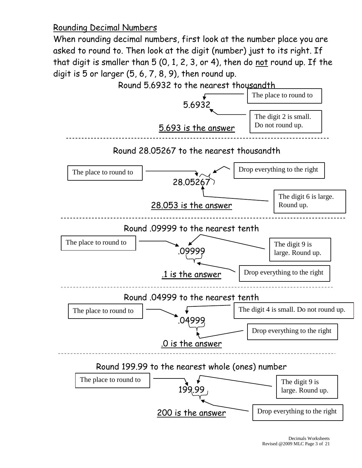Rounding Decimal Numbers

When rounding decimal numbers, first look at the number place you are asked to round to. Then look at the digit (number) just to its right. If that digit is smaller than 5 (0, 1, 2, 3, or 4), then do not round up. If the digit is  $5$  or larger  $(5, 6, 7, 8, 9)$ , then round up.

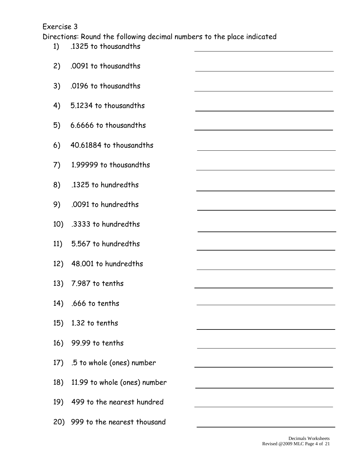#### Exercise 3

Directions: Round the following decimal numbers to the place indicated

| 1)  | .1325 to thousandths             | <u> 1989 - Johann Stoff, deutscher Stoffen und der Stoffen und der Stoffen und der Stoffen und der Stoffen und der</u> |
|-----|----------------------------------|------------------------------------------------------------------------------------------------------------------------|
| 2)  | .0091 to thousandths             |                                                                                                                        |
| 3)  | .0196 to thousandths             | <u> 1989 - Johann Stoff, amerikansk politiker (d. 1989)</u>                                                            |
| 4)  | 5.1234 to thousandths            |                                                                                                                        |
| 5)  | 6.6666 to thousandths            | <u> 1989 - Johann Stoff, deutscher Stoffen und der Stoffen und der Stoffen und der Stoffen und der Stoffen und der</u> |
| 6)  | 40.61884 to thousandths          | <u> 1980 - Johann Barn, mars ann an t-Amhain Aonaich an t-Aonaich an t-Aonaich ann an t-Aonaich ann an t-Aonaich</u>   |
| 7)  | 1.99999 to thousandths           | <u> 1980 - Johann Barn, mars ann an t-Amhain Aonaich an t-Aonaich an t-Aonaich an t-Aonaich an t-Aonaich ann an t-</u> |
| 8)  | .1325 to hundredths              | <u> 1989 - Johann Stein, marwolaethau a bhann an t-Amhain an t-Amhain an t-Amhain an t-Amhain an t-Amhain an t-A</u>   |
| 9)  | .0091 to hundredths              |                                                                                                                        |
| 10) | .3333 to hundredths              |                                                                                                                        |
| 11) | 5.567 to hundredths              |                                                                                                                        |
| 12) | 48.001 to hundredths             |                                                                                                                        |
|     | 13) 7.987 to tenths              |                                                                                                                        |
|     | 14) .666 to tenths               |                                                                                                                        |
| 15) | 1.32 to tenths                   |                                                                                                                        |
|     | 16) 99.99 to tenths              |                                                                                                                        |
|     | 17) .5 to whole (ones) number    |                                                                                                                        |
|     | 18) 11.99 to whole (ones) number |                                                                                                                        |
|     | 19) 499 to the nearest hundred   |                                                                                                                        |
|     | 20) 999 to the nearest thousand  |                                                                                                                        |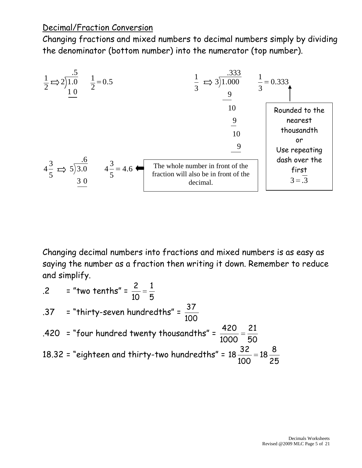## Decimal/Fraction Conversion

Changing fractions and mixed numbers to decimal numbers simply by dividing the denominator (bottom number) into the numerator (top number).



Changing decimal numbers into fractions and mixed numbers is as easy as saying the number as a fraction then writing it down. Remember to reduce and simplify.

$$
2 = \text{"two tenths"} = \frac{2}{10} = \frac{1}{5}
$$
\n
$$
37 = \text{"thirty-seven hundredths"} = \frac{37}{100}
$$
\n
$$
420 = \text{"four hundred twenty thousandths"} = \frac{420}{1000} = \frac{21}{50}
$$
\n
$$
18.32 = \text{"eighteen and thirty-two hundredths"} = 18\frac{32}{100} = 18\frac{8}{25}
$$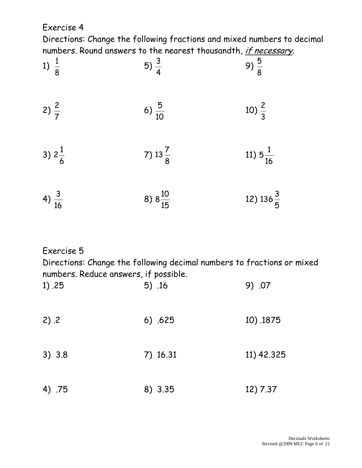Exercise 4

Directions: Change the following fractions and mixed numbers to decimal numbers. Round answers to the nearest thousandth, *if necessary*.

| 1) $\frac{1}{8}$  | 5) $\frac{3}{4}$    | 9) $\frac{5}{8}$     |
|-------------------|---------------------|----------------------|
| 2) $\frac{2}{7}$  | 6) $\frac{5}{10}$   | 10) $\frac{2}{3}$    |
| 3) $2\frac{1}{6}$ | 7) $13\frac{7}{8}$  | 11) $5\frac{1}{16}$  |
| 4) $\frac{3}{16}$ | 8) $8\frac{10}{15}$ | 12) $136\frac{3}{5}$ |

# Exercise 5

Directions: Change the following decimal numbers to fractions or mixed numbers. Reduce answers, if possible.

| 1) .25 | $5)$ .16 | 9) .07     |
|--------|----------|------------|
| 2) .2  | 6) .625  | 10) .1875  |
| 3) 3.8 | 7) 16.31 | 11) 42.325 |
| 4) .75 | 8) 3.35  | 12) 7.37   |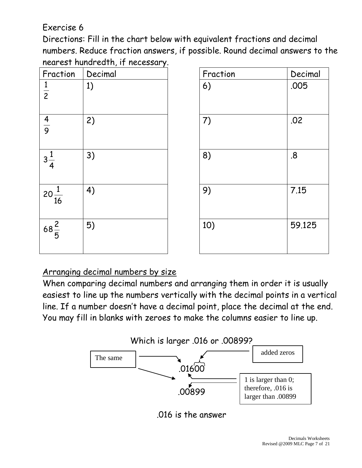# Exercise 6

Directions: Fill in the chart below with equivalent fractions and decimal numbers. Reduce fraction answers, if possible. Round decimal answers to the nearest hundredth, if necessary.

| Fraction         | - - · · · <b>/</b> · <b>·</b><br>$\cdots$<br>Decimal | Fraction | Decimal |
|------------------|------------------------------------------------------|----------|---------|
| $\frac{1}{2}$    | 1)                                                   | 6)       | .005    |
| $\frac{4}{9}$    | 2)                                                   | 7)       | .02     |
| $3\frac{1}{4}$   | 3)                                                   | 8)       | .8      |
| $20\frac{1}{16}$ | 4)                                                   | 9)       | 7.15    |
| $68\frac{2}{5}$  | 5)                                                   | 10)      | 59.125  |

| Decimal | Fraction | Decimal |
|---------|----------|---------|
| 1)      | 6)       | .005    |
| 2)      | 7)       | .02     |
| 3)      | 8)       | .8      |
| 4)      | 9)       | 7.15    |
| 5)      | 10)      | 59.125  |

# Arranging decimal numbers by size

When comparing decimal numbers and arranging them in order it is usually easiest to line up the numbers vertically with the decimal points in a vertical line. If a number doesn't have a decimal point, place the decimal at the end. You may fill in blanks with zeroes to make the columns easier to line up.



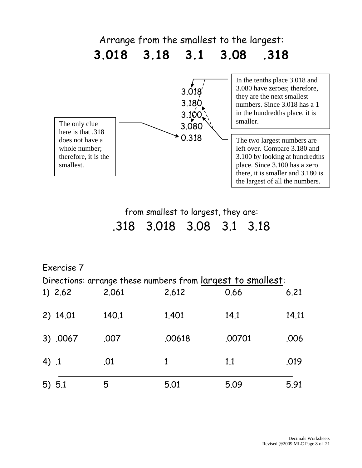

from smallest to largest, they are: .318 3.018 3.08 3.1 3.18

# Exercise 7

Directions: arrange these numbers from largest to smallest:

| 2.061 | 2.612  | 0.66   | 6.21  |
|-------|--------|--------|-------|
| 140.1 | 1.401  | 14.1   | 14.11 |
| .007  | .00618 | .00701 | .006  |
| .01   | 1      | 1.1    | .019  |
| 5     | 5.01   | 5.09   | 5.91  |
|       |        |        |       |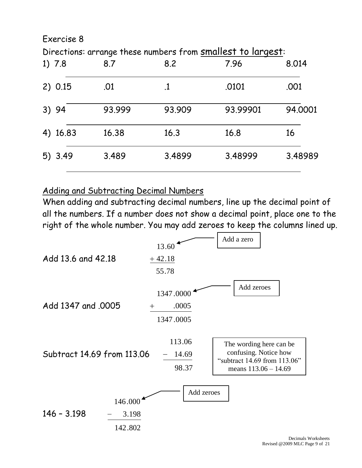| Exercise 8 |        |        |                                                             |         |
|------------|--------|--------|-------------------------------------------------------------|---------|
|            |        |        | Directions: arrange these numbers from smallest to largest: |         |
| 1)7.8      | 8.7    | 8.2    | 7.96                                                        | 8.014   |
| 2) 0.15    | .01    | $.1\,$ | .0101                                                       | .001    |
| 3) 94      | 93.999 | 93.909 | 93.99901                                                    | 94.0001 |
| 4) 16.83   | 16.38  | 16.3   | 16.8                                                        | 16      |
| 5) 3.49    | 3.489  | 3.4899 | 3.48999                                                     | 3.48989 |

### Adding and Subtracting Decimal Numbers

When adding and subtracting decimal numbers, line up the decimal point of all the numbers. If a number does not show a decimal point, place one to the right of the whole number. You may add zeroes to keep the columns lined up.

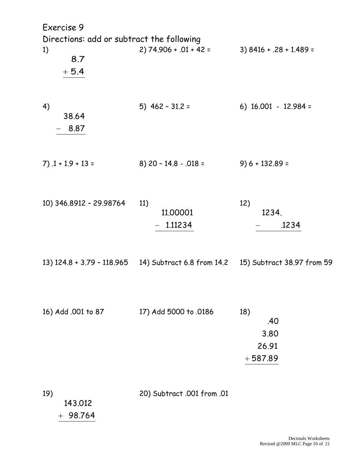| Exercise 9                                                       |                                                                                  |                                          |
|------------------------------------------------------------------|----------------------------------------------------------------------------------|------------------------------------------|
| Directions: add or subtract the following<br>1)<br>8.7<br>$+5.4$ | $2) 74.906 + .01 + 42 =$                                                         | 3) 8416 + .28 + 1.489 =                  |
| 4)<br>38.64<br>8.87                                              | $5)$ 462 - 31.2 =                                                                | 6) $16.001 - 12.984 =$                   |
| $7)$ . 1 + 1.9 + 13 =                                            | 8) 20 - 14.8 - .018 =                                                            | $9) 6 + 132.89 =$                        |
| 10) 346.8912 - 29.98764                                          | 11)<br>11.00001<br>$-1.11234$                                                    | 12)<br>1234.<br>.1234                    |
|                                                                  | 13) 124.8 + 3.79 - 118.965 14) Subtract 6.8 from 14.2 15) Subtract 38.97 from 59 |                                          |
| 16) Add .001 to 87                                               | 17) Add 5000 to .0186                                                            | 18)<br>.40<br>3.80<br>26.91<br>$+587.89$ |
| 19)<br>143.012<br>$+98.764$                                      | 20) Subtract .001 from .01                                                       |                                          |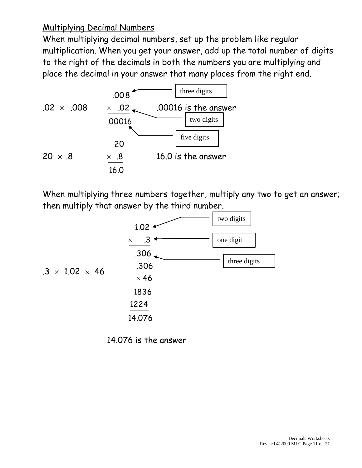## Multiplying Decimal Numbers

When multiplying decimal numbers, set up the problem like regular multiplication. When you get your answer, add up the total number of digits to the right of the decimals in both the numbers you are multiplying and place the decimal in your answer that many places from the right end.



When multiplying three numbers together, multiply any two to get an answer; then multiply that answer by the third number.



14.076 is the answer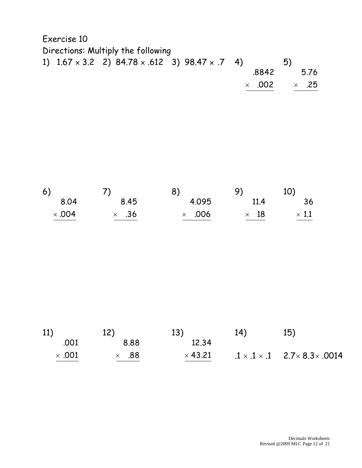| Directions: Multiply the following |                                                                     |               |      |
|------------------------------------|---------------------------------------------------------------------|---------------|------|
|                                    |                                                                     | 5)            |      |
|                                    | .8842                                                               |               | 5.76 |
|                                    |                                                                     | $\times$ .25  |      |
|                                    | 1) $1.67 \times 3.2$ 2) $84.78 \times .612$ 3) $98.47 \times .7$ 4) | $\times$ .002 |      |

| 6)            |              | 8)            | 9)          | 10)          |
|---------------|--------------|---------------|-------------|--------------|
| 8.04          | 8.45         | 4.095         | 11.4        | 36           |
| $\times$ ,004 | $\times$ .36 | $\times$ .006 | $\times$ 18 | $\times$ 1.1 |

| 11)           | 12)          | 13)            | 14) | 15)                                                     |
|---------------|--------------|----------------|-----|---------------------------------------------------------|
| .001          | 8.88         | 12.34          |     |                                                         |
| $\times$ .001 | $\times$ .88 | $\times$ 43.21 |     | $1 \times .1 \times .1$ 2.7 $\times$ 8.3 $\times$ .0014 |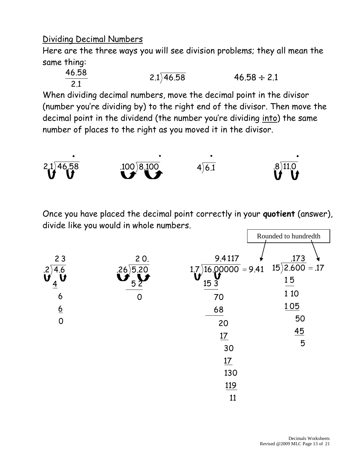## Dividing Decimal Numbers

Here are the three ways you will see division problems; they all mean the same thing:

$$
\frac{46.58}{2.1}
$$
 2.1)46.58 46.58 \div 2.1

When dividing decimal numbers, move the decimal point in the divisor (number you're dividing by) to the right end of the divisor. Then move the decimal point in the dividend (the number you're dividing into) the same number of places to the right as you moved it in the divisor.



Once you have placed the decimal point correctly in your **quotient** (answer), divide like you would in whole numbers.

|                      |                              |                                            | Rounded to hundredth                |
|----------------------|------------------------------|--------------------------------------------|-------------------------------------|
| 23<br>$\cdot$<br>4.6 | 20.<br>$.26)5.\overline{20}$ | 9.4117<br>$1.7\overline{)16.00000} = 9.41$ | .173<br>$15)\overline{2.600} = .17$ |
| $\frac{4}{ }$        | 5 <sup>7</sup>               | 153                                        | 15                                  |
| 6                    | 0                            | 70                                         | 1 10                                |
| $\underline{6}$      |                              | 68                                         | 105                                 |
| $\overline{0}$       |                              | 20                                         | 50                                  |
|                      |                              | 17                                         | 45                                  |
|                      |                              | 30                                         | 5                                   |
|                      |                              | 17                                         |                                     |
|                      |                              | 130                                        |                                     |
|                      |                              | 119                                        |                                     |
|                      |                              | 11                                         |                                     |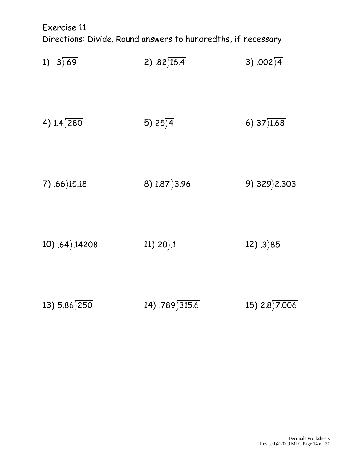Exercise 11 Directions: Divide. Round answers to hundredths, if necessary

| 1) $.3) .69$              | 2) $.82\sqrt{16.4}$                  | 3) $.002\sqrt{4}$         |
|---------------------------|--------------------------------------|---------------------------|
| 4) $1.4)$ 280             | 5) $25\overline{)4}$                 | 6) $37\overline{)1.68}$   |
| 7) $.66\overline{)15.18}$ | 8) $1.87\overline{)3.96}$            | 9) $329\overline{)2.303}$ |
| 10) $.64) .14208$         | 11) $20 \overline{\smash{\big)}\ 1}$ | 12) $.3\overline{)85}$    |
| 13) $5.86\overline{)250}$ | 14) $.789\overline{)315.6}$          | 15) $2.8)7.006$           |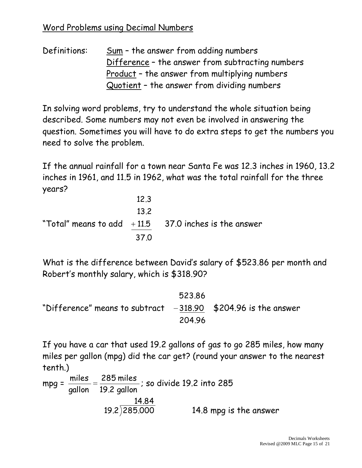Definitions: Sum – the answer from adding numbers Difference – the answer from subtracting numbers Product – the answer from multiplying numbers Quotient – the answer from dividing numbers

In solving word problems, try to understand the whole situation being described. Some numbers may not even be involved in answering the question. Sometimes you will have to do extra steps to get the numbers you need to solve the problem.

If the annual rainfall for a town near Santa Fe was 12.3 inches in 1960, 13.2 inches in 1961, and 11.5 in 1962, what was the total rainfall for the three years?

| 12.3 |                                                        |
|------|--------------------------------------------------------|
| 13.2 |                                                        |
|      | "Total" means to add $+11.5$ 37.0 inches is the answer |
| 37 O |                                                        |

What is the difference between David's salary of \$523.86 per month and Robert's monthly salary, which is \$318.90?

"Difference" means to subtract 204.96  $-318.90$  523.86 \$204.96 is the answer

If you have a car that used 19.2 gallons of gas to go 285 miles, how many miles per gallon (mpg) did the car get? (round your answer to the nearest tenth.)

mpg = 19.2 gallon 285 miles gallon miles ; so divide 19.2 into 285  $\frac{14.84}{19.2\overline{)285.000}}$ 14.8 mpg is the answer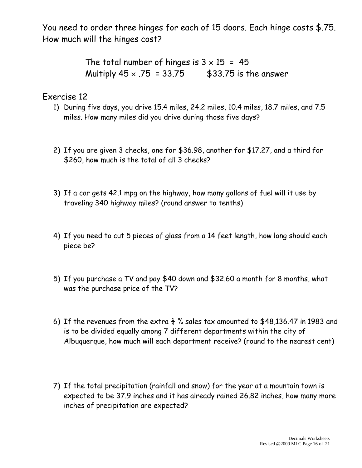You need to order three hinges for each of 15 doors. Each hinge costs \$.75. How much will the hinges cost?

> The total number of hinges is  $3 \times 15 = 45$ Multiply  $45 \times .75 = 33.75$  \$33.75 is the answer

Exercise 12

- 1) During five days, you drive 15.4 miles, 24.2 miles, 10.4 miles, 18.7 miles, and 7.5 miles. How many miles did you drive during those five days?
- 2) If you are given 3 checks, one for \$36.98, another for \$17.27, and a third for \$260, how much is the total of all 3 checks?
- 3) If a car gets 42.1 mpg on the highway, how many gallons of fuel will it use by traveling 340 highway miles? (round answer to tenths)
- 4) If you need to cut 5 pieces of glass from a 14 feet length, how long should each piece be?
- 5) If you purchase a TV and pay \$40 down and \$32.60 a month for 8 months, what was the purchase price of the TV?
- 6) If the revenues from the extra  $\frac{1}{4}$  % sales tax amounted to \$48,136.47 in 1983 and is to be divided equally among 7 different departments within the city of Albuquerque, how much will each department receive? (round to the nearest cent)
- 7) If the total precipitation (rainfall and snow) for the year at a mountain town is expected to be 37.9 inches and it has already rained 26.82 inches, how many more inches of precipitation are expected?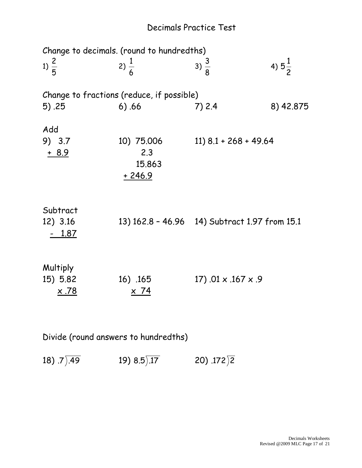# Decimals Practice Test

| Change to decimals. (round to hundredths) |                                         |                                               |                   |  |  |
|-------------------------------------------|-----------------------------------------|-----------------------------------------------|-------------------|--|--|
| 1) $\frac{2}{5}$                          | 2) $\frac{1}{6}$                        | 3) $\frac{3}{8}$                              | 4) $5\frac{1}{2}$ |  |  |
| Change to fractions (reduce, if possible) |                                         |                                               |                   |  |  |
| 5) .25                                    | 6) .66                                  | 7)2.4                                         | 8) 42.875         |  |  |
| Add<br>9) 3.7<br>$+ 8.9$                  | 10) 75.006<br>2.3<br>15.863<br>$+246.9$ | $11)$ 8.1 + 268 + 49.64                       |                   |  |  |
| Subtract<br>12) 3.16<br>1.87              |                                         | 13) 162.8 - 46.96 14) Subtract 1.97 from 15.1 |                   |  |  |
| Multiply<br>15) 5.82<br><u>x .78</u>      | 16) .165<br><u>x 74</u>                 | $17)$ .01 $\times$ .167 $\times$ .9           |                   |  |  |

Divide (round answers to hundredths)

18) .7 .49 19) 8.5 .17 20) .172 2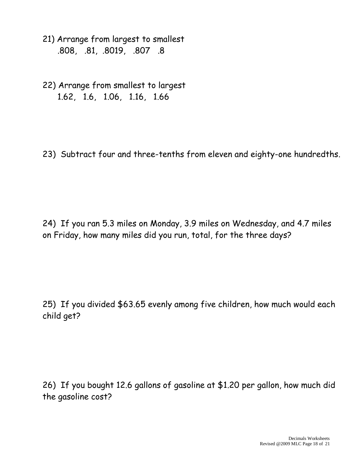- 21) Arrange from largest to smallest .808, .81, .8019, .807 .8
- 22) Arrange from smallest to largest 1.62, 1.6, 1.06, 1.16, 1.66

23) Subtract four and three-tenths from eleven and eighty-one hundredths.

24) If you ran 5.3 miles on Monday, 3.9 miles on Wednesday, and 4.7 miles on Friday, how many miles did you run, total, for the three days?

25) If you divided \$63.65 evenly among five children, how much would each child get?

26) If you bought 12.6 gallons of gasoline at \$1.20 per gallon, how much did the gasoline cost?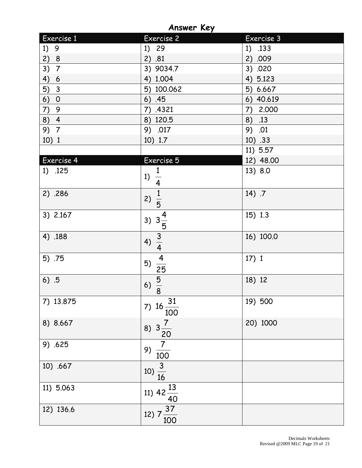**Answer Key**

| Exercise 1           | Exercise 2                               | Exercise 3  |
|----------------------|------------------------------------------|-------------|
| 1)<br>9              | 1) 29                                    | 1) .133     |
| 2)<br>8              | 2) .81                                   | 2) .009     |
| 3)<br>$\overline{7}$ | 3) 9034.7                                | .020<br>3)  |
| 4)<br>6              | 4) 1.004                                 | 4) 5.123    |
| 5)<br>$\mathbf{3}$   | 5) 100.062                               | 5) 6.667    |
| 6)<br>$\overline{O}$ | 6) .45                                   | 6) 40.619   |
| 7)<br>9              | 7)<br>.4321                              | 2.000<br>7) |
| 8) 4                 | 8) 120.5                                 | 8)<br>.13   |
| 9) 7                 | 9) .017                                  | 9)<br>.01   |
| 10) 1                | 10) 1.7                                  | 10) .33     |
|                      |                                          | 11) 5.57    |
| Exercise 4           | Exercise 5                               | 12) 48.00   |
| 1) .125              | 1<br>1)<br>$\overline{4}$                | 13) 8.0     |
| 2) .286              | $\frac{1}{5}$<br>2)                      | 14) .7      |
| 3) 2.167             | 3) $3\frac{4}{5}$                        | 15) 1.3     |
| 4) .188              | $\frac{3}{4}$<br>4)                      | 16) 100.0   |
| 5) .75               | $\frac{4}{1}$<br>5)<br>25                | 17)1        |
| 6) .5                | $\frac{5}{8}$<br>6)                      | 18) 12      |
| 7) 13.875            | 7) $16\frac{31}{1}$<br>100               | 19) 500     |
| 8) 8.667             | $\overline{7}$<br>8) $3 -$<br>20         | 20) 1000    |
| 9) .625              | $\overline{7}$<br>9)<br>$\overline{100}$ |             |
| 10) .667             | 10) $\frac{3}{16}$                       |             |
| 11) 5.063            | 11) $42\frac{13}{40}$                    |             |
| 12) 136.6            | 12) $7\frac{37}{100}$                    |             |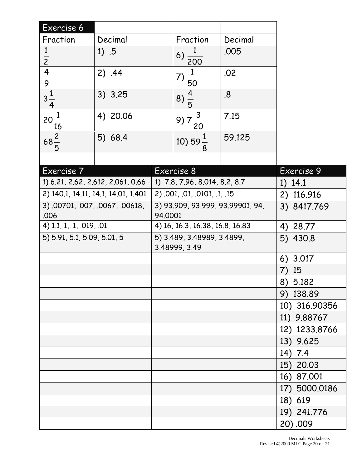| Exercise 6                              |                                     |                                             |                               |             |                  |
|-----------------------------------------|-------------------------------------|---------------------------------------------|-------------------------------|-------------|------------------|
| Fraction                                | Decimal                             |                                             | Fraction                      | Decimal     |                  |
| $\mathbf{1}$                            | 1) .5                               |                                             | 6) $\frac{1}{200}$            | .005        |                  |
| $\overline{2}$                          |                                     |                                             |                               |             |                  |
| $\frac{4}{9}$                           | 2) .44                              |                                             | 7)<br>$rac{1}{50}$            | .02         |                  |
|                                         |                                     |                                             |                               |             |                  |
| $3\frac{1}{4}$                          | 3) 3.25                             |                                             | $8)\frac{4}{5}$               | 8.5         |                  |
| $20^{\frac{1}{2}}$<br>16                | 4) 20.06                            |                                             | 9)<br>20                      | 7.15        |                  |
| $68\frac{2}{5}$                         | 5) 68.4                             |                                             | 10) 59 $\frac{1}{2}$          | 59.125      |                  |
|                                         |                                     |                                             |                               |             |                  |
| Exercise 7                              |                                     |                                             | Exercise 8                    |             | Exercise 9       |
|                                         | 1) 6.21, 2.62, 2.612, 2.061, 0.66   |                                             | 1) 7.8, 7.96, 8.014, 8.2, 8.7 |             | 1) 14.1          |
|                                         | 2) 140.1, 14.11, 14.1, 14.01, 1.401 |                                             | 2) .001, .01, .0101, .1, .15  |             | 2) 116.916       |
| 3) .00701, .007, .0067, .00618,<br>.006 |                                     | 3) 93.909, 93.999, 93.99901, 94,<br>94.0001 |                               | 3) 8417.769 |                  |
| 4) 1.1, 1, .1, .019, .01                |                                     | 4) 16, 16.3, 16.38, 16.8, 16.83             |                               |             | 4) 28.77         |
| 5) 5.91, 5.1, 5.09, 5.01, 5             |                                     | 5) 3.489, 3.48989, 3.4899,                  |                               |             | 5) 430.8         |
|                                         |                                     |                                             | 3.48999, 3.49                 |             |                  |
|                                         |                                     |                                             |                               |             | 6) 3.017         |
|                                         |                                     |                                             |                               |             | 15<br>$\sqrt{ }$ |
|                                         |                                     |                                             |                               |             | 8) 5.182         |
|                                         |                                     |                                             |                               |             | 9) 138.89        |
|                                         |                                     |                                             |                               |             | 10) 316.90356    |
|                                         |                                     |                                             |                               |             | 11) 9.88767      |
|                                         |                                     |                                             |                               |             | 12) 1233.8766    |
|                                         |                                     |                                             |                               |             | 13) 9.625        |
|                                         |                                     |                                             |                               |             | 14) 7.4          |
|                                         |                                     |                                             |                               |             | 15) 20.03        |
|                                         |                                     |                                             |                               |             | 16) 87.001       |
|                                         |                                     |                                             |                               |             | 17) 5000.0186    |
|                                         |                                     |                                             |                               |             | 18) 619          |
|                                         |                                     |                                             |                               |             | 19) 241.776      |
|                                         |                                     |                                             |                               |             | 20).009          |